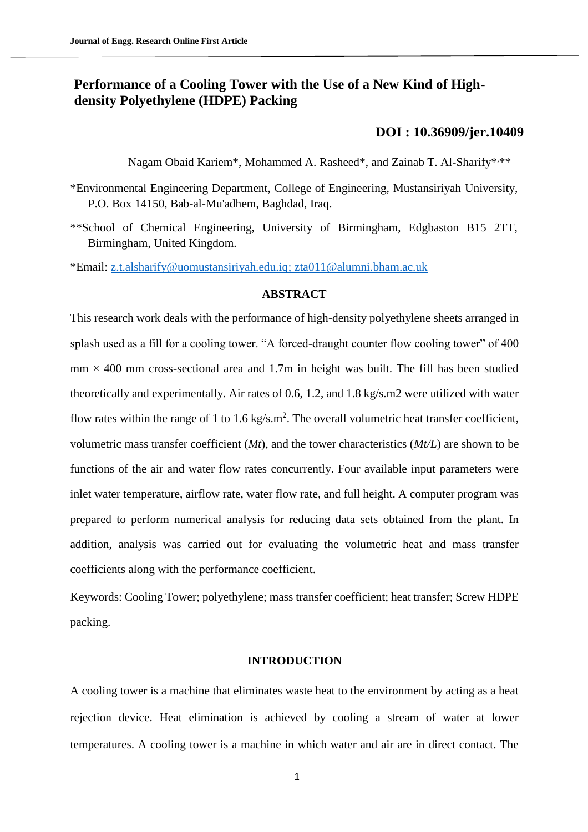# **Performance of a Cooling Tower with the Use of a New Kind of Highdensity Polyethylene (HDPE) Packing**

# **[DOI : 10.36909/jer.10409](https://doi.org/10.36909/jer.10409)**

Nagam Obaid Kariem\*, Mohammed A. Rasheed\*, and Zainab T. Al-Sharify\*\*\*\*

- \*Environmental Engineering Department, College of Engineering, Mustansiriyah University, P.O. Box 14150, Bab-al-Mu'adhem, Baghdad, Iraq.
- \*\*School of Chemical Engineering, University of Birmingham, Edgbaston B15 2TT, Birmingham, United Kingdom.

\*Email: [z.t.alsharify@uomustansiriyah.edu.iq;](mailto:z.t.alsharify@uomustansiriyah.edu.iq) [zta011@alumni.bham.ac.uk](mailto:zta011@alumni.bham.ac.uk)

# **ABSTRACT**

This research work deals with the performance of high-density polyethylene sheets arranged in splash used as a fill for a cooling tower. "A forced-draught counter flow cooling tower" of 400  $mm \times 400$  mm cross-sectional area and 1.7m in height was built. The fill has been studied theoretically and experimentally. Air rates of 0.6, 1.2, and 1.8 kg/s.m2 were utilized with water flow rates within the range of 1 to 1.6 kg/s.m<sup>2</sup>. The overall volumetric heat transfer coefficient, volumetric mass transfer coefficient (*Mt*), and the tower characteristics (*Mt/L*) are shown to be functions of the air and water flow rates concurrently. Four available input parameters were inlet water temperature, airflow rate, water flow rate, and full height. A computer program was prepared to perform numerical analysis for reducing data sets obtained from the plant. In addition, analysis was carried out for evaluating the volumetric heat and mass transfer coefficients along with the performance coefficient.

Keywords: Cooling Tower; polyethylene; mass transfer coefficient; heat transfer; Screw HDPE packing.

## **INTRODUCTION**

A cooling tower is a machine that eliminates waste heat to the environment by acting as a heat rejection device. Heat elimination is achieved by cooling a stream of water at lower temperatures. A cooling tower is a machine in which water and air are in direct contact. The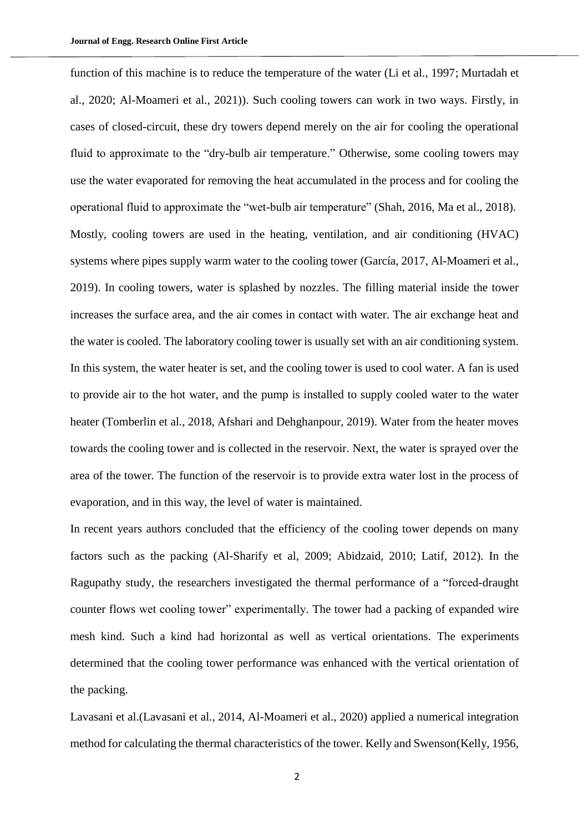function of this machine is to reduce the temperature of the water (Li et al., 1997; Murtadah et al., 2020; Al-Moameri et al., 2021)). Such cooling towers can work in two ways. Firstly, in cases of closed-circuit, these dry towers depend merely on the air for cooling the operational fluid to approximate to the "dry-bulb air temperature." Otherwise, some cooling towers may use the water evaporated for removing the heat accumulated in the process and for cooling the operational fluid to approximate the "wet-bulb air temperature" (Shah, 2016, Ma et al., 2018). Mostly, cooling towers are used in the heating, ventilation, and air conditioning (HVAC) systems where pipes supply warm water to the cooling tower (García, 2017, Al-Moameri et al., 2019). In cooling towers, water is splashed by nozzles. The filling material inside the tower increases the surface area, and the air comes in contact with water. The air exchange heat and the water is cooled. The laboratory cooling tower is usually set with an air conditioning system. In this system, the water heater is set, and the cooling tower is used to cool water. A fan is used to provide air to the hot water, and the pump is installed to supply cooled water to the water heater (Tomberlin et al., 2018, Afshari and Dehghanpour, 2019). Water from the heater moves towards the cooling tower and is collected in the reservoir. Next, the water is sprayed over the area of the tower. The function of the reservoir is to provide extra water lost in the process of evaporation, and in this way, the level of water is maintained.

In recent years authors concluded that the efficiency of the cooling tower depends on many factors such as the packing (Al-Sharify et al, 2009; Abidzaid, 2010; Latif, 2012). In the Ragupathy study, the researchers investigated the thermal performance of a "forced-draught counter flows wet cooling tower" experimentally. The tower had a packing of expanded wire mesh kind. Such a kind had horizontal as well as vertical orientations. The experiments determined that the cooling tower performance was enhanced with the vertical orientation of the packing.

Lavasani et al.(Lavasani et al., 2014, Al-Moameri et al., 2020) applied a numerical integration method for calculating the thermal characteristics of the tower. Kelly and Swenson(Kelly, 1956,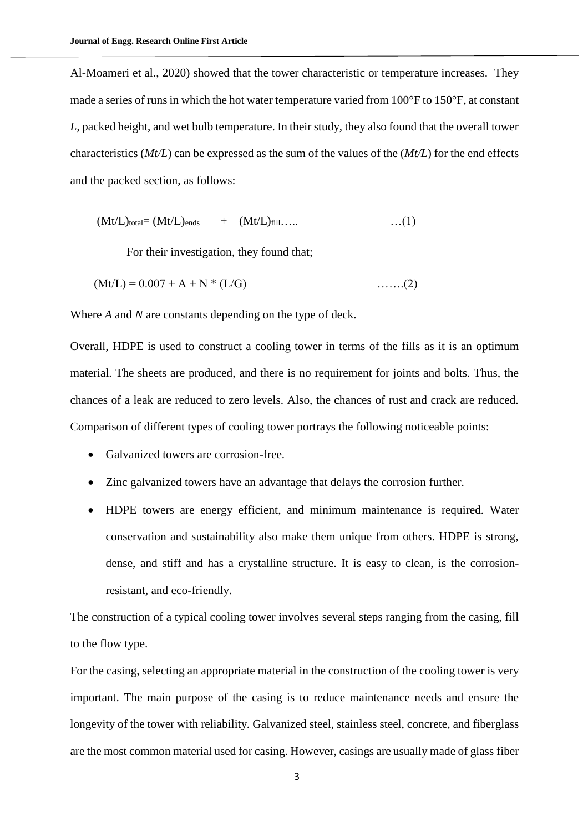Al-Moameri et al., 2020) showed that the tower characteristic or temperature increases. They made a series of runs in which the hot water temperature varied from 100°F to 150°F, at constant *L*, packed height, and wet bulb temperature. In their study, they also found that the overall tower characteristics (*Mt/L*) can be expressed as the sum of the values of the (*Mt/L*) for the end effects and the packed section, as follows:

$$
(Mt/L)_{total} = (Mt/L)_{ends} + (Mt/L)_{fill} \dots \qquad \dots (1)
$$

For their investigation, they found that;

$$
(Mt/L) = 0.007 + A + N * (L/G)
$$
 ......(2)

Where *A* and *N* are constants depending on the type of deck.

Overall, HDPE is used to construct a cooling tower in terms of the fills as it is an optimum material. The sheets are produced, and there is no requirement for joints and bolts. Thus, the chances of a leak are reduced to zero levels. Also, the chances of rust and crack are reduced. Comparison of different types of cooling tower portrays the following noticeable points:

- Galvanized towers are corrosion-free.
- Zinc galvanized towers have an advantage that delays the corrosion further.
- HDPE towers are energy efficient, and minimum maintenance is required. Water conservation and sustainability also make them unique from others. HDPE is strong, dense, and stiff and has a crystalline structure. It is easy to clean, is the corrosionresistant, and eco-friendly.

The construction of a typical cooling tower involves several steps ranging from the casing, fill to the flow type.

For the casing, selecting an appropriate material in the construction of the cooling tower is very important. The main purpose of the casing is to reduce maintenance needs and ensure the longevity of the tower with reliability. Galvanized steel, stainless steel, concrete, and fiberglass are the most common material used for casing. However, casings are usually made of glass fiber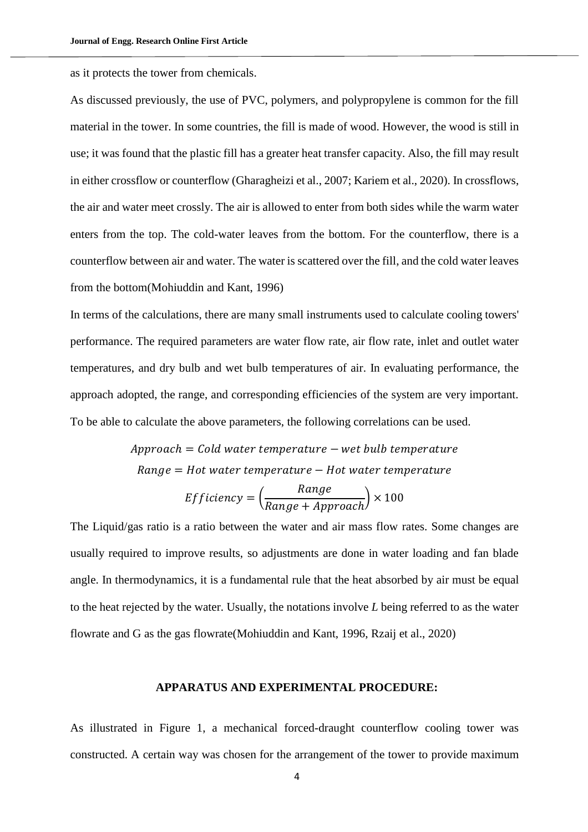as it protects the tower from chemicals.

As discussed previously, the use of PVC, polymers, and polypropylene is common for the fill material in the tower. In some countries, the fill is made of wood. However, the wood is still in use; it was found that the plastic fill has a greater heat transfer capacity. Also, the fill may result in either crossflow or counterflow (Gharagheizi et al., 2007; Kariem et al., 2020). In crossflows, the air and water meet crossly. The air is allowed to enter from both sides while the warm water enters from the top. The cold-water leaves from the bottom. For the counterflow, there is a counterflow between air and water. The water is scattered over the fill, and the cold water leaves from the bottom(Mohiuddin and Kant, 1996)

In terms of the calculations, there are many small instruments used to calculate cooling towers' performance. The required parameters are water flow rate, air flow rate, inlet and outlet water temperatures, and dry bulb and wet bulb temperatures of air. In evaluating performance, the approach adopted, the range, and corresponding efficiencies of the system are very important. To be able to calculate the above parameters, the following correlations can be used.

> $A$ pproach = Cold water temperature – wet bulb temperature  $Range = Hot water temperature - Hot water temperature$

$$
Efficiency = \left(\frac{Range}{Range + Approach}\right) \times 100
$$

The Liquid/gas ratio is a ratio between the water and air mass flow rates. Some changes are usually required to improve results, so adjustments are done in water loading and fan blade angle. In thermodynamics, it is a fundamental rule that the heat absorbed by air must be equal to the heat rejected by the water. Usually, the notations involve *L* being referred to as the water flowrate and G as the gas flowrate(Mohiuddin and Kant, 1996, Rzaij et al., 2020)

#### **APPARATUS AND EXPERIMENTAL PROCEDURE:**

As illustrated in [Figure 1,](#page-5-0) a mechanical forced-draught counterflow cooling tower was constructed. A certain way was chosen for the arrangement of the tower to provide maximum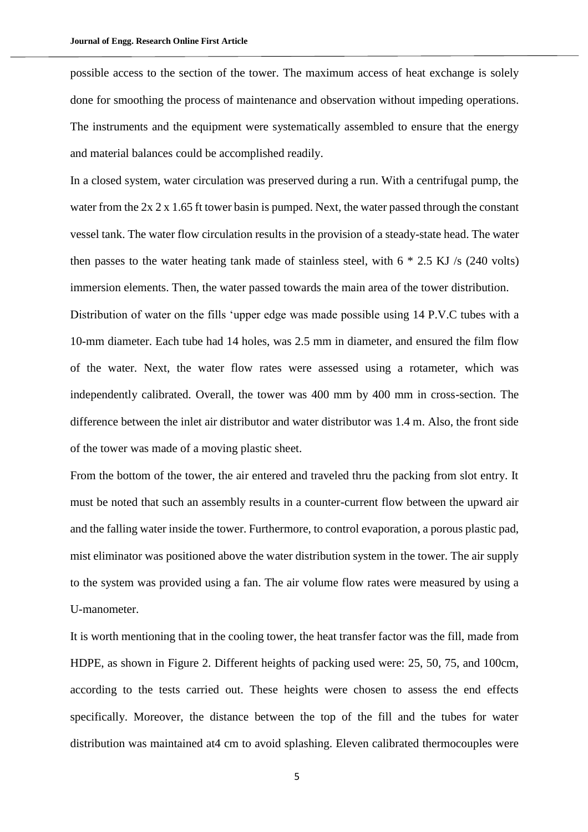possible access to the section of the tower. The maximum access of heat exchange is solely done for smoothing the process of maintenance and observation without impeding operations. The instruments and the equipment were systematically assembled to ensure that the energy and material balances could be accomplished readily.

In a closed system, water circulation was preserved during a run. With a centrifugal pump, the water from the 2x 2 x 1.65 ft tower basin is pumped. Next, the water passed through the constant vessel tank. The water flow circulation results in the provision of a steady-state head. The water then passes to the water heating tank made of stainless steel, with  $6 * 2.5$  KJ /s (240 volts) immersion elements. Then, the water passed towards the main area of the tower distribution.

Distribution of water on the fills 'upper edge was made possible using 14 P.V.C tubes with a 10-mm diameter. Each tube had 14 holes, was 2.5 mm in diameter, and ensured the film flow of the water. Next, the water flow rates were assessed using a rotameter, which was independently calibrated. Overall, the tower was 400 mm by 400 mm in cross-section. The difference between the inlet air distributor and water distributor was 1.4 m. Also, the front side of the tower was made of a moving plastic sheet.

From the bottom of the tower, the air entered and traveled thru the packing from slot entry. It must be noted that such an assembly results in a counter-current flow between the upward air and the falling water inside the tower. Furthermore, to control evaporation, a porous plastic pad, mist eliminator was positioned above the water distribution system in the tower. The air supply to the system was provided using a fan. The air volume flow rates were measured by using a U-manometer.

It is worth mentioning that in the cooling tower, the heat transfer factor was the fill, made from HDPE, as shown in [Figure 2.](#page-6-0) Different heights of packing used were: 25, 50, 75, and 100cm, according to the tests carried out. These heights were chosen to assess the end effects specifically. Moreover, the distance between the top of the fill and the tubes for water distribution was maintained at4 cm to avoid splashing. Eleven calibrated thermocouples were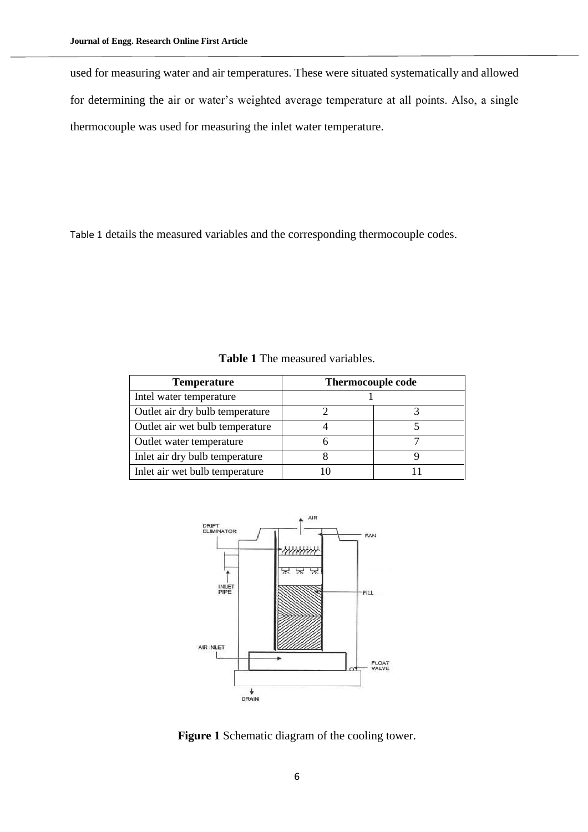used for measuring water and air temperatures. These were situated systematically and allowed for determining the air or water's weighted average temperature at all points. Also, a single thermocouple was used for measuring the inlet water temperature.

<span id="page-5-1"></span>[Table 1](#page-5-1) details the measured variables and the corresponding thermocouple codes.

| <b>Temperature</b>              | <b>Thermocouple code</b> |  |
|---------------------------------|--------------------------|--|
| Intel water temperature         |                          |  |
| Outlet air dry bulb temperature |                          |  |
| Outlet air wet bulb temperature |                          |  |
| Outlet water temperature        |                          |  |
| Inlet air dry bulb temperature  |                          |  |
| Inlet air wet bulb temperature  |                          |  |

**Table 1** The measured variables.



<span id="page-5-0"></span>Figure 1 Schematic diagram of the cooling tower.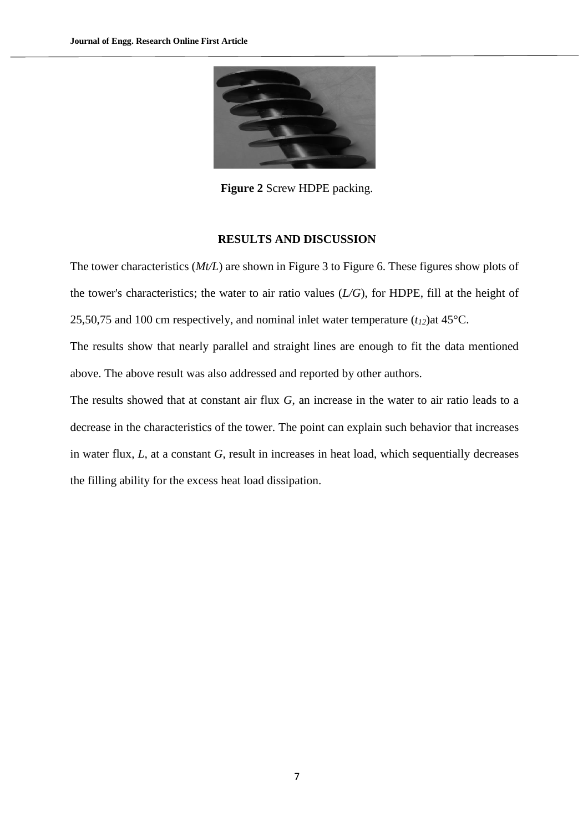

**Figure 2** Screw HDPE packing.

#### **RESULTS AND DISCUSSION**

<span id="page-6-0"></span>The tower characteristics (*Mt/L*) are shown in [Figure 3](#page-7-0) to [Figure 6.](#page-8-0) These figures show plots of the tower's characteristics; the water to air ratio values (*L/G*), for HDPE, fill at the height of 25,50,75 and 100 cm respectively, and nominal inlet water temperature  $(t_{12})$ at 45°C.

The results show that nearly parallel and straight lines are enough to fit the data mentioned above. The above result was also addressed and reported by other authors.

The results showed that at constant air flux *G*, an increase in the water to air ratio leads to a decrease in the characteristics of the tower. The point can explain such behavior that increases in water flux, *L*, at a constant *G*, result in increases in heat load, which sequentially decreases the filling ability for the excess heat load dissipation.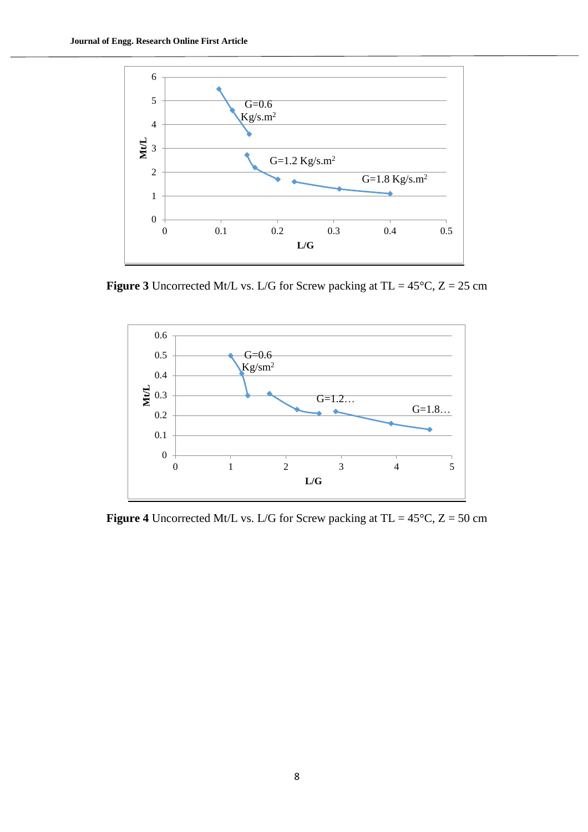

<span id="page-7-0"></span>**Figure 3** Uncorrected Mt/L vs. L/G for Screw packing at TL =  $45^{\circ}$ C, Z = 25 cm



**Figure 4** Uncorrected Mt/L vs. L/G for Screw packing at TL =  $45^{\circ}$ C, Z = 50 cm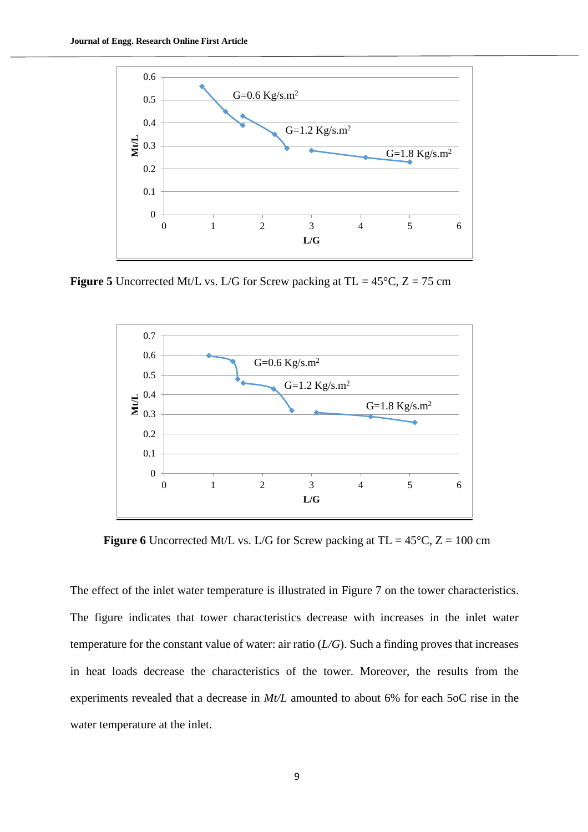

**Figure 5** Uncorrected Mt/L vs. L/G for Screw packing at TL =  $45^{\circ}$ C, Z = 75 cm



<span id="page-8-0"></span>**Figure 6** Uncorrected Mt/L vs. L/G for Screw packing at TL =  $45^{\circ}$ C, Z = 100 cm

The effect of the inlet water temperature is illustrated in [Figure 7](#page-9-0) on the tower characteristics. The figure indicates that tower characteristics decrease with increases in the inlet water temperature for the constant value of water: air ratio (*L/G*). Such a finding proves that increases in heat loads decrease the characteristics of the tower. Moreover, the results from the experiments revealed that a decrease in *Mt/L* amounted to about 6% for each 5oC rise in the water temperature at the inlet.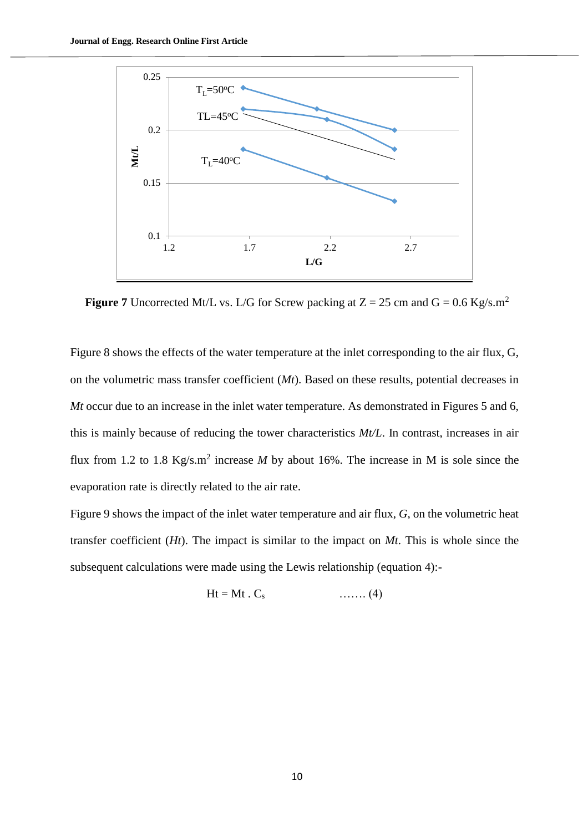

<span id="page-9-0"></span>**Figure 7** Uncorrected Mt/L vs. L/G for Screw packing at  $Z = 25$  cm and  $G = 0.6$  Kg/s.m<sup>2</sup>

[Figure 8](#page-10-0) shows the effects of the water temperature at the inlet corresponding to the air flux, G, on the volumetric mass transfer coefficient (*Mt*). Based on these results, potential decreases in *Mt* occur due to an increase in the inlet water temperature. As demonstrated in Figures 5 and 6, this is mainly because of reducing the tower characteristics *Mt/L*. In contrast, increases in air flux from 1.2 to 1.8  $Kg/s.m^2$  increase *M* by about 16%. The increase in M is sole since the evaporation rate is directly related to the air rate.

[Figure 9](#page-10-1) shows the impact of the inlet water temperature and air flux, *G*, on the volumetric heat transfer coefficient (*Ht*). The impact is similar to the impact on *Mt*. This is whole since the subsequent calculations were made using the Lewis relationship (equation 4):-

$$
Ht = Mt \cdot C_s \qquad \qquad \ldots \ldots (4)
$$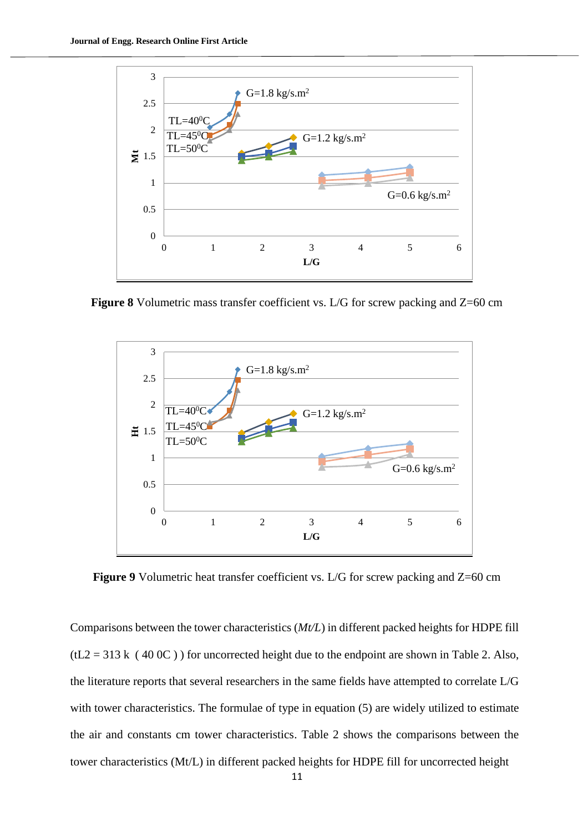

<span id="page-10-0"></span>**Figure 8** Volumetric mass transfer coefficient vs. L/G for screw packing and Z=60 cm



<span id="page-10-1"></span>**Figure 9** Volumetric heat transfer coefficient vs. L/G for screw packing and Z=60 cm

Comparisons between the tower characteristics (*Mt/L*) in different packed heights for HDPE fill  $(tL2 = 313 \text{ k}$  (40 0C)) for uncorrected height due to the endpoint are shown in [Table 2.](#page-11-0) Also, the literature reports that several researchers in the same fields have attempted to correlate L/G with tower characteristics. The formulae of type in equation (5) are widely utilized to estimate the air and constants cm tower characteristics. [Table 2](#page-11-0) shows the comparisons between the tower characteristics (Mt/L) in different packed heights for HDPE fill for uncorrected height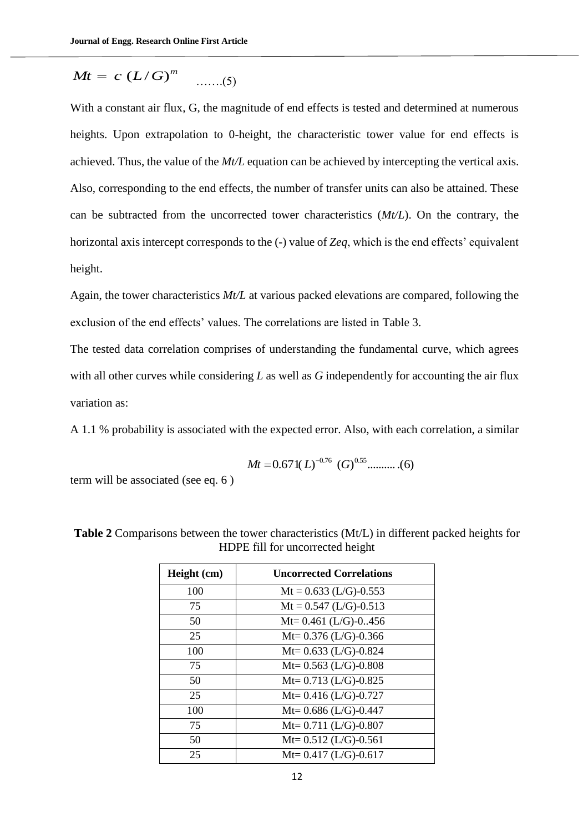$$
Mt = c (L/G)^m \quad \dots \quad (5)
$$

*Mt* = *c* (*L*/*G*)<sup>*m*</sup> .......(5)<br>
With a constant air flux, G, the magnitude of end<br>
neights. Upon extrapolation to 0-height, the c<br>
chieved. Thus, the value of the *Mt*/*L* equation ca<br>
Also, corresponding to the end With a constant air flux, G, the magnitude of end effects is tested and determined at numerous heights. Upon extrapolation to 0-height, the characteristic tower value for end effects is achieved. Thus, the value of the *Mt/L* equation can be achieved by intercepting the vertical axis. Also, corresponding to the end effects, the number of transfer units can also be attained. These can be subtracted from the uncorrected tower characteristics (*Mt/L*). On the contrary, the horizontal axis intercept corresponds to the (-) value of *Zeq*, which is the end effects' equivalent height.

Again, the tower characteristics *Mt/L* at various packed elevations are compared, following the exclusion of the end effects' values. The correlations are listed in [Table 3.](#page-12-0)

The tested data correlation comprises of understanding the fundamental curve, which agrees with all other curves while considering *L* as well as *G* independently for accounting the air flux variation as:

A 1.1 % probability is associated with the expected error. Also, with each correlation, a similar

$$
Mt = 0.671(L)^{-0.76} (G)^{0.55} \dots \dots (6)
$$

term will be associated (see eq. 6 )

| Height (cm) | <b>Uncorrected Correlations</b> |
|-------------|---------------------------------|
| 100         | $Mt = 0.633$ (L/G)-0.553        |
| 75          | $Mt = 0.547$ (L/G)-0.513        |
| 50          | Mt= $0.461$ (L/G)- $0.456$      |
| 25          | Mt= $0.376$ (L/G)-0.366         |
| 100         | Mt= $0.633$ (L/G)- $0.824$      |
| 75          | Mt= $0.563$ (L/G)- $0.808$      |
| 50          | Mt= $0.713$ (L/G)- $0.825$      |
| 25          | Mt= $0.416$ (L/G)-0.727         |
| 100         | Mt= $0.686$ (L/G)-0.447         |
| 75          | Mt= $0.711$ (L/G)-0.807         |
| 50          | Mt= $0.512$ (L/G)-0.561         |
| 25          | Mt= $0.417$ (L/G)-0.617         |

<span id="page-11-0"></span>**Table 2** Comparisons between the tower characteristics (Mt/L) in different packed heights for HDPE fill for uncorrected height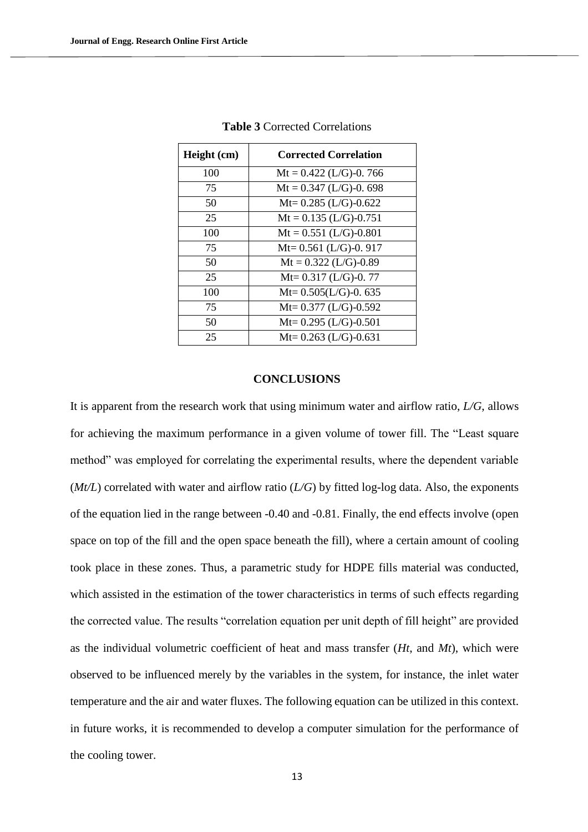<span id="page-12-0"></span>

| Height (cm) | <b>Corrected Correlation</b> |
|-------------|------------------------------|
| 100         | $Mt = 0.422$ (L/G)-0.766     |
| 75          | $Mt = 0.347$ (L/G)-0.698     |
| 50          | Mt= $0.285$ (L/G)- $0.622$   |
| 25          | $Mt = 0.135$ (L/G)-0.751     |
| 100         | $Mt = 0.551$ (L/G)-0.801     |
| 75          | Mt= $0.561$ (L/G)-0. 917     |
| 50          | $Mt = 0.322$ (L/G)-0.89      |
| 25          | $Mt = 0.317$ (L/G)-0.77      |
| 100         | $Mt = 0.505(L/G) - 0.635$    |
| 75          | Mt= $0.377$ (L/G)- $0.592$   |
| 50          | Mt= $0.295$ (L/G)-0.501      |
| 25          | Mt= $0.263$ (L/G)-0.631      |

**Table 3** Corrected Correlations

#### **CONCLUSIONS**

It is apparent from the research work that using minimum water and airflow ratio, *L/G*, allows for achieving the maximum performance in a given volume of tower fill. The "Least square method" was employed for correlating the experimental results, where the dependent variable (*Mt/L*) correlated with water and airflow ratio (*L/G*) by fitted log-log data. Also, the exponents of the equation lied in the range between -0.40 and -0.81. Finally, the end effects involve (open space on top of the fill and the open space beneath the fill), where a certain amount of cooling took place in these zones. Thus, a parametric study for HDPE fills material was conducted, which assisted in the estimation of the tower characteristics in terms of such effects regarding the corrected value. The results "correlation equation per unit depth of fill height" are provided as the individual volumetric coefficient of heat and mass transfer (*Ht*, and *Mt*), which were observed to be influenced merely by the variables in the system, for instance, the inlet water temperature and the air and water fluxes. The following equation can be utilized in this context. in future works, it is recommended to develop a computer simulation for the performance of the cooling tower.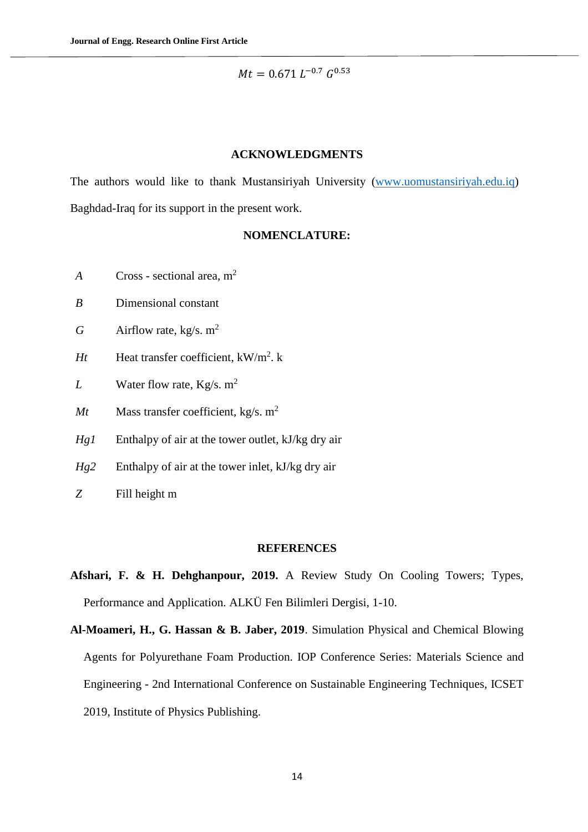$Mt = 0.671 L^{-0.7} G^{0.53}$ 

#### **ACKNOWLEDGMENTS**

The authors would like to thank Mustansiriyah University [\(www.uomustansiriyah.edu.iq\)](http://www.uomustansiriyah.edu.iq/) Baghdad-Iraq for its support in the present work.

# **NOMENCLATURE:**

- *A* Cross sectional area, m<sup>2</sup>
- *B* Dimensional constant
- *G* Airflow rate,  $kg/s$ .  $m^2$
- *Ht* Heat transfer coefficient,  $kW/m^2$ . k
- *L* Water flow rate, Kg/s. m<sup>2</sup>
- *Mt* Mass transfer coefficient, kg/s.  $m^2$
- *Hg1* Enthalpy of air at the tower outlet, kJ/kg dry air
- *Hg2* Enthalpy of air at the tower inlet, kJ/kg dry air
- *Z* Fill height m

#### **REFERENCES**

- **Afshari, F. & H. Dehghanpour, 2019.** A Review Study On Cooling Towers; Types, Performance and Application. ALKÜ Fen Bilimleri Dergisi, 1-10.
- **Al-Moameri, H., G. Hassan & B. Jaber, 2019**. Simulation Physical and Chemical Blowing Agents for Polyurethane Foam Production. IOP Conference Series: Materials Science and Engineering - 2nd International Conference on Sustainable Engineering Techniques, ICSET 2019, Institute of Physics Publishing.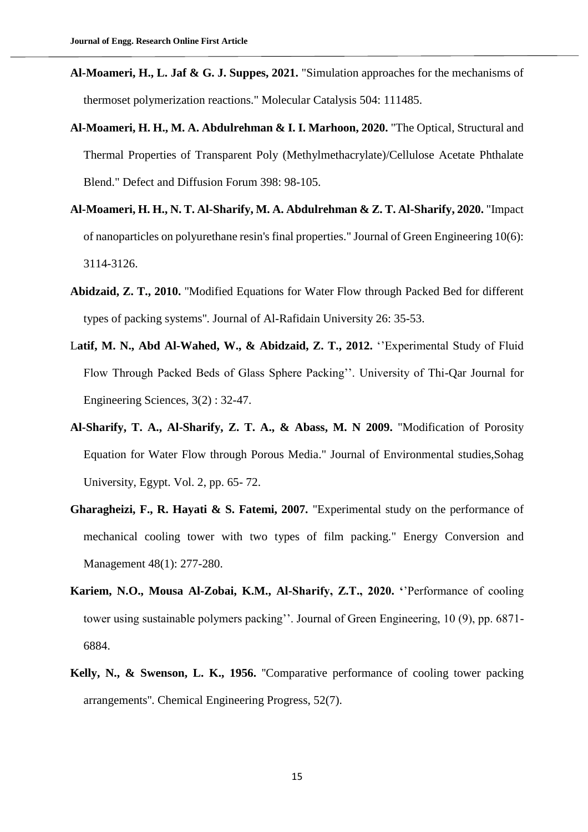- **Al-Moameri, H., L. Jaf & G. J. Suppes, 2021.** "Simulation approaches for the mechanisms of thermoset polymerization reactions." Molecular Catalysis 504: 111485.
- **Al-Moameri, H. H., M. A. Abdulrehman & I. I. Marhoon, 2020.** "The Optical, Structural and Thermal Properties of Transparent Poly (Methylmethacrylate)/Cellulose Acetate Phthalate Blend." Defect and Diffusion Forum 398: 98-105.
- **Al-Moameri, H. H., N. T. Al-Sharify, M. A. Abdulrehman & Z. T. Al-Sharify, 2020.** "Impact of nanoparticles on polyurethane resin's final properties." Journal of Green Engineering 10(6): 3114-3126.
- **Abidzaid, Z. T., 2010.** ''Modified Equations for Water Flow through Packed Bed for different types of packing systems''. Journal of Al-Rafidain University 26: 35-53.
- L**atif, M. N., Abd Al-Wahed, W., & Abidzaid, Z. T., 2012.** ''Experimental Study of Fluid Flow Through Packed Beds of Glass Sphere Packing''. University of Thi-Qar Journal for Engineering Sciences, 3(2) : 32-47.
- **Al-Sharify, T. A., Al-Sharify, Z. T. A., & Abass, M. N 2009.** "Modification of Porosity Equation for Water Flow through Porous Media." Journal of Environmental studies,Sohag University, Egypt. Vol. 2, pp. 65- 72.
- **Gharagheizi, F., R. Hayati & S. Fatemi, 2007.** "Experimental study on the performance of mechanical cooling tower with two types of film packing." Energy Conversion and Management 48(1): 277-280.
- **Kariem, N.O., Mousa Al-Zobai, K.M., Al-Sharify, Z.T., 2020. '**'Performance of cooling tower using sustainable polymers packing''. Journal of Green Engineering, 10 (9), pp. 6871- 6884.
- **Kelly, N., & Swenson, L. K., 1956.** "Comparative performance of cooling tower packing arrangements''. Chemical Engineering Progress, 52(7).